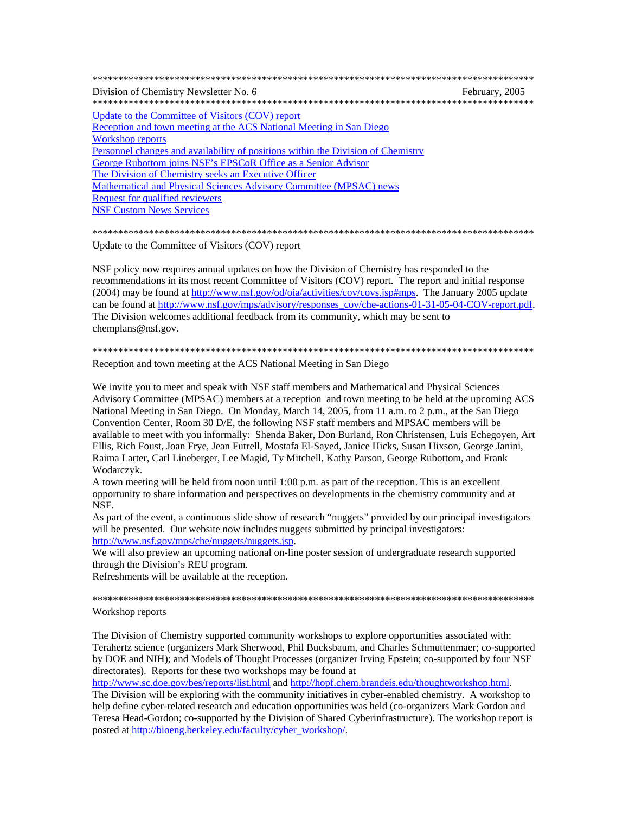| Division of Chemistry Newsletter No. 6                                           | February, 2005 |
|----------------------------------------------------------------------------------|----------------|
| Update to the Committee of Visitors (COV) report                                 |                |
| Reception and town meeting at the ACS National Meeting in San Diego              |                |
| Workshop reports                                                                 |                |
| Personnel changes and availability of positions within the Division of Chemistry |                |
| George Rubottom joins NSF's EPSCoR Office as a Senior Advisor                    |                |
| The Division of Chemistry seeks an Executive Officer                             |                |
| Mathematical and Physical Sciences Advisory Committee (MPSAC) news               |                |
| <b>Request for qualified reviewers</b>                                           |                |
| <b>NSF Custom News Services</b>                                                  |                |
|                                                                                  |                |

Update to the Committee of Visitors (COV) report

NSF policy now requires annual updates on how the Division of Chemistry has responded to the recommendations in its most recent Committee of Visitors (COV) report. The report and initial response (2004) may be found at http://www.nsf.gov/od/oia/activities/cov/covs.jsp#mps. The January 2005 update can be found at http://www.nsf.gov/mps/advisory/responses\_cov/che-actions-01-31-05-04-COV-report.pdf. The Division welcomes additional feedback from its community, which may be sent to chemplans@nsf.gov.

Reception and town meeting at the ACS National Meeting in San Diego

We invite you to meet and speak with NSF staff members and Mathematical and Physical Sciences Advisory Committee (MPSAC) members at a reception and town meeting to be held at the upcoming ACS National Meeting in San Diego. On Monday, March 14, 2005, from 11 a.m. to 2 p.m., at the San Diego Convention Center, Room 30 D/E, the following NSF staff members and MPSAC members will be available to meet with you informally: Shenda Baker, Don Burland, Ron Christensen, Luis Echegoyen, Art Ellis, Rich Foust, Joan Frye, Jean Futrell, Mostafa El-Sayed, Janice Hicks, Susan Hixson, George Janini, Raima Larter, Carl Lineberger, Lee Magid, Ty Mitchell, Kathy Parson, George Rubottom, and Frank Wodarczyk.

A town meeting will be held from noon until  $1:00$  p.m. as part of the reception. This is an excellent opportunity to share information and perspectives on developments in the chemistry community and at NSF.

As part of the event, a continuous slide show of research "nuggets" provided by our principal investigators will be presented. Our website now includes nuggets submitted by principal investigators: http://www.nsf.gov/mps/che/nuggets/nuggets.jsp.

We will also preview an upcoming national on-line poster session of undergraduate research supported through the Division's REU program.

Refreshments will be available at the reception.

Workshop reports

The Division of Chemistry supported community workshops to explore opportunities associated with: Terahertz science (organizers Mark Sherwood, Phil Bucksbaum, and Charles Schmuttenmaer; co-supported by DOE and NIH); and Models of Thought Processes (organizer Irving Epstein; co-supported by four NSF directorates). Reports for these two workshops may be found at

http://www.sc.doe.gov/bes/reports/list.html and http://hopf.chem.brandeis.edu/thoughtworkshop.html.

The Division will be exploring with the community initiatives in cyber-enabled chemistry. A workshop to help define cyber-related research and education opportunities was held (co-organizers Mark Gordon and Teresa Head-Gordon; co-supported by the Division of Shared Cyberinfrastructure). The workshop report is posted at http://bioeng.berkeley.edu/faculty/cyber\_workshop/.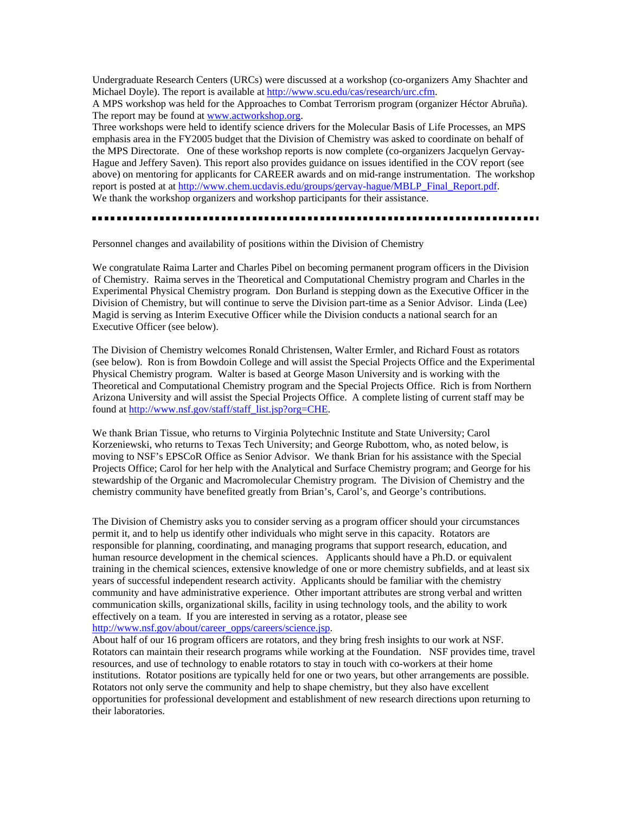<span id="page-1-0"></span>Undergraduate Research Centers (URCs) were discussed at a workshop (co-organizers Amy Shachter and Michael Doyle). The report is available at [http://www.scu.edu/cas/research/urc.cfm.](http://www.scu.edu/cas/research/urc.cfm)

A MPS workshop was held for the Approaches to Combat Terrorism program (organizer Héctor Abruña). The report may be found at www.actworkshop.org.

Three workshops were held to identify science drivers for the Molecular Basis of Life Processes, an MPS emphasis area in the FY2005 budget that the Division of Chemistry was asked to coordinate on behalf of the MPS Directorate. One of these workshop reports is now complete (co-organizers Jacquelyn Gervay-Hague and Jeffery Saven). This report also provides guidance on issues identified in the COV report (see above) on mentoring for applicants for CAREER awards and on mid-range instrumentation. The workshop report is posted at at [http://www.chem.ucdavis.edu/groups/gervay-hague/MBLP\\_Final\\_Report.pdf.](http://www.chem.ucdavis.edu/groups/gervay-hague/MBLP_Final_Report.pdf)  We thank the workshop organizers and workshop participants for their assistance.

..............

Personnel changes and availability of positions within the Division of Chemistry

We congratulate Raima Larter and Charles Pibel on becoming permanent program officers in the Division of Chemistry. Raima serves in the Theoretical and Computational Chemistry program and Charles in the Experimental Physical Chemistry program. Don Burland is stepping down as the Executive Officer in the Division of Chemistry, but will continue to serve the Division part-time as a Senior Advisor. Linda (Lee) Magid is serving as Interim Executive Officer while the Division conducts a national search for an Executive Officer (see below).

The Division of Chemistry welcomes Ronald Christensen, Walter Ermler, and Richard Foust as rotators (see below). Ron is from Bowdoin College and will assist the Special Projects Office and the Experimental Physical Chemistry program. Walter is based at George Mason University and is working with the Theoretical and Computational Chemistry program and the Special Projects Office. Rich is from Northern Arizona University and will assist the Special Projects Office. A complete listing of current staff may be found at http://www.nsf.gov/staff/staff\_list.jsp?org=CHE.

We thank Brian Tissue, who returns to Virginia Polytechnic Institute and State University; Carol Korzeniewski, who returns to Texas Tech University; and George Rubottom, who, as noted below, is moving to NSF's EPSCoR Office as Senior Advisor. We thank Brian for his assistance with the Special Projects Office; Carol for her help with the Analytical and Surface Chemistry program; and George for his stewardship of the Organic and Macromolecular Chemistry program. The Division of Chemistry and the chemistry community have benefited greatly from Brian's, Carol's, and George's contributions.

The Division of Chemistry asks you to consider serving as a program officer should your circumstances permit it, and to help us identify other individuals who might serve in this capacity. Rotators are responsible for planning, coordinating, and managing programs that support research, education, and human resource development in the chemical sciences. Applicants should have a Ph.D. or equivalent training in the chemical sciences, extensive knowledge of one or more chemistry subfields, and at least six years of successful independent research activity. Applicants should be familiar with the chemistry community and have administrative experience. Other important attributes are strong verbal and written communication skills, organizational skills, facility in using technology tools, and the ability to work effectively on a team. If you are interested in serving as a rotator, please see http://www.nsf.gov/about/career\_opps/careers/science.jsp.

About half of our 16 program officers are rotators, and they bring fresh insights to our work at NSF. Rotators can maintain their research programs while working at the Foundation. NSF provides time, travel resources, and use of technology to enable rotators to stay in touch with co-workers at their home institutions. Rotator positions are typically held for one or two years, but other arrangements are possible. Rotators not only serve the community and help to shape chemistry, but they also have excellent opportunities for professional development and establishment of new research directions upon returning to their laboratories.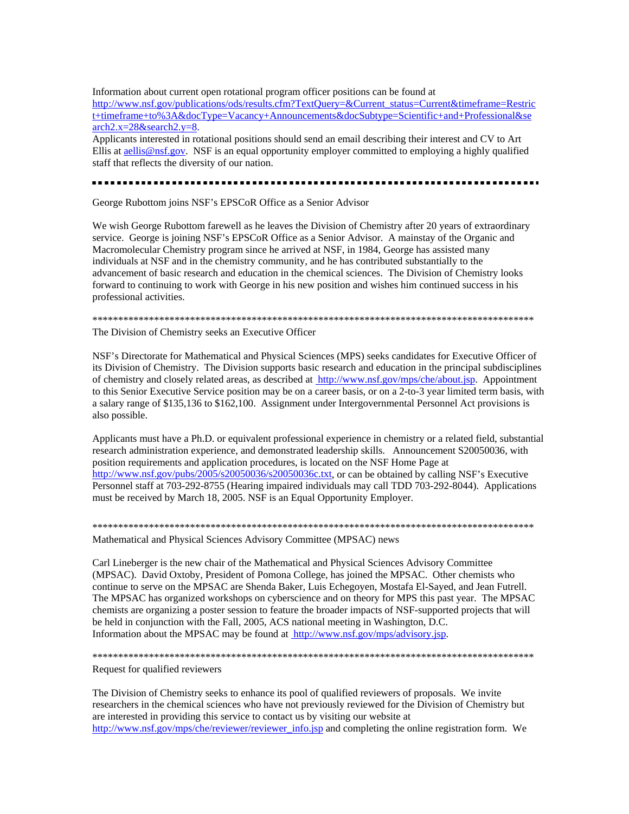<span id="page-2-0"></span>Information about current open rotational program officer positions can be found at [http://www.nsf.gov/publications/ods/results.cfm?TextQuery=&Current\\_status=Current&timeframe=Restric](http://www.nsf.gov/publications/ods/results.cfm?TextQuery=&Current_status=Current&timeframe=Restric) t+timeframe+to%3A&docType=Vacancy+Announcements&docSubtype=Scientific+and+Professional&se arch2.x=28&search2.y=8.

Applicants interested in rotational positions should send an email describing their interest and CV to Art Ellis at aellis@nsf.gov. NSF is an equal opportunity employer committed to employing a highly qualified staff that reflects the diversity of our nation.

### .....................

George Rubottom joins NSF's EPSCoR Office as a Senior Advisor

We wish George Rubottom farewell as he leaves the Division of Chemistry after 20 years of extraordinary service. George is joining NSF's EPSCoR Office as a Senior Advisor. A mainstay of the Organic and Macromolecular Chemistry program since he arrived at NSF, in 1984, George has assisted many individuals at NSF and in the chemistry community, and he has contributed substantially to the advancement of basic research and education in the chemical sciences. The Division of Chemistry looks forward to continuing to work with George in his new position and wishes him continued success in his professional activities.

#### \*\*\*\*\*\*\*\*\*\*\*\*\*\*\*\*\*\*\*\*\*\*\*\*\*\*\*\*\*\*\*\*\*\*\*\*\*\*\*\*\*\*\*\*\*\*\*\*\*\*\*\*\*\*\*\*\*\*\*\*\*\*\*\*\*\*\*\*\*\*\*\*\*\*\*\*\*\*\*\*\*\*\*\*\*\*

The Division of Chemistry seeks an Executive Officer

NSF's Directorate for Mathematical and Physical Sciences (MPS) seeks candidates for Executive Officer of its Division of Chemistry. The Division supports basic research and education in the principal subdisciplines of chemistry and closely related areas, as described at [http://www.nsf.gov/mps/che/about.jsp.](http://www.nsf.gov/mps/che/about.jsp) Appointment to this Senior Executive Service position may be on a career basis, or on a 2-to-3 year limited term basis, with a salary range of \$135,136 to \$162,100. Assignment under Intergovernmental Personnel Act provisions is also possible.

Applicants must have a Ph.D. or equivalent professional experience in chemistry or a related field, substantial research administration experience, and demonstrated leadership skills. Announcement S20050036, with position requirements and application procedures, is located on the NSF Home Page at [http://www.nsf.gov/pubs/2005/s20050036/s20050036c.txt,](http://www.nsf.gov/pubs/2005/s20050036/s20050036c.txt) or can be obtained by calling NSF's Executive Personnel staff at 703-292-8755 (Hearing impaired individuals may call TDD 703-292-8044). Applications must be received by March 18, 2005. NSF is an Equal Opportunity Employer.

\*\*\*\*\*\*\*\*\*\*\*\*\*\*\*\*\*\*\*\*\*\*\*\*\*\*\*\*\*\*\*\*\*\*\*\*\*\*\*\*\*\*\*\*\*\*\*\*\*\*\*\*\*\*\*\*\*\*\*\*\*\*\*\*\*\*\*\*\*\*\*\*\*\*\*\*\*\*\*\*\*\*\*\*\*\* Mathematical and Physical Sciences Advisory Committee (MPSAC) news

Carl Lineberger is the new chair of the Mathematical and Physical Sciences Advisory Committee (MPSAC). David Oxtoby, President of Pomona College, has joined the MPSAC. Other chemists who continue to serve on the MPSAC are Shenda Baker, Luis Echegoyen, Mostafa El-Sayed, and Jean Futrell. The MPSAC has organized workshops on cyberscience and on theory for MPS this past year. The MPSAC chemists are organizing a poster session to feature the broader impacts of NSF-supported projects that will be held in conjunction with the Fall, 2005, ACS national meeting in Washington, D.C. Information about the MPSAC may be found at [http://www.nsf.gov/mps/advisory.jsp.](http://www.nsf.gov/mps/advisory.jsp) 

#### \*\*\*\*\*\*\*\*\*\*\*\*\*\*\*\*\*\*\*\*\*\*\*\*\*\*\*\*\*\*\*\*\*\*\*\*\*\*\*\*\*\*\*\*\*\*\*\*\*\*\*\*\*\*\*\*\*\*\*\*\*\*\*\*\*\*\*\*\*\*\*\*\*\*\*\*\*\*\*\*\*\*\*\*\*\*

### Request for qualified reviewers

The Division of Chemistry seeks to enhance its pool of qualified reviewers of proposals. We invite researchers in the chemical sciences who have not previously reviewed for the Division of Chemistry but are interested in providing this service to contact us by visiting our website at [http://www.nsf.gov/mps/che/reviewer/reviewer\\_info.jsp](http://www.nsf.gov/mps/che/reviewer/reviewer_info.jsp) and completing the online registration form. We